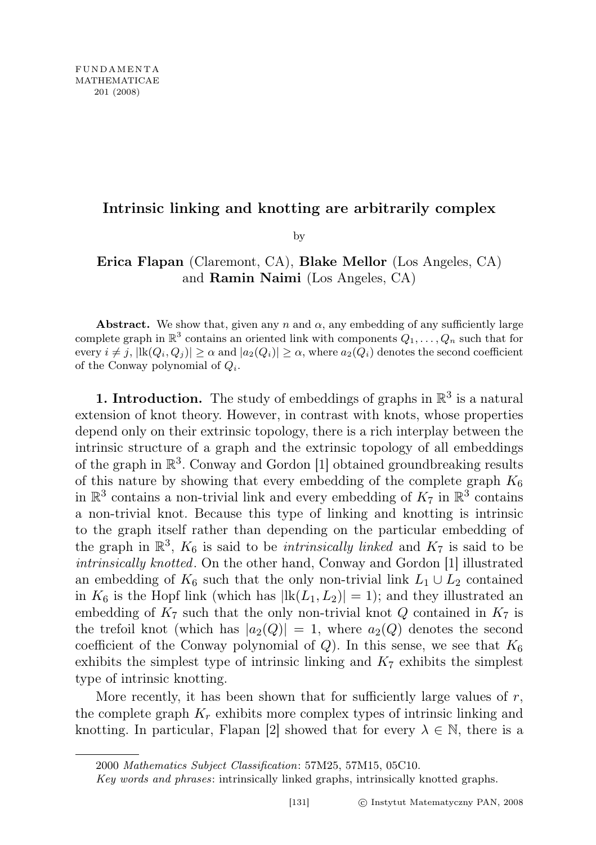## Intrinsic linking and knotting are arbitrarily complex

by

## Erica Flapan (Claremont, CA), Blake Mellor (Los Angeles, CA) and Ramin Naimi (Los Angeles, CA)

Abstract. We show that, given any n and  $\alpha$ , any embedding of any sufficiently large complete graph in  $\mathbb{R}^3$  contains an oriented link with components  $Q_1, \ldots, Q_n$  such that for every  $i \neq j$ ,  $|lk(Q_i, Q_j)| \geq \alpha$  and  $|a_2(Q_i)| \geq \alpha$ , where  $a_2(Q_i)$  denotes the second coefficient of the Conway polynomial of  $Q_i$ .

**1. Introduction.** The study of embeddings of graphs in  $\mathbb{R}^3$  is a natural extension of knot theory. However, in contrast with knots, whose properties depend only on their extrinsic topology, there is a rich interplay between the intrinsic structure of a graph and the extrinsic topology of all embeddings of the graph in  $\mathbb{R}^3$ . Conway and Gordon [1] obtained groundbreaking results of this nature by showing that every embedding of the complete graph  $K_6$ in  $\mathbb{R}^3$  contains a non-trivial link and every embedding of  $K_7$  in  $\mathbb{R}^3$  contains a non-trivial knot. Because this type of linking and knotting is intrinsic to the graph itself rather than depending on the particular embedding of the graph in  $\mathbb{R}^3$ ,  $K_6$  is said to be *intrinsically linked* and  $K_7$  is said to be intrinsically knotted. On the other hand, Conway and Gordon [1] illustrated an embedding of  $K_6$  such that the only non-trivial link  $L_1 \cup L_2$  contained in  $K_6$  is the Hopf link (which has  $|lk(L_1, L_2)| = 1$ ); and they illustrated an embedding of  $K_7$  such that the only non-trivial knot Q contained in  $K_7$  is the trefoil knot (which has  $|a_2(Q)| = 1$ , where  $a_2(Q)$  denotes the second coefficient of the Conway polynomial of Q). In this sense, we see that  $K_6$ exhibits the simplest type of intrinsic linking and  $K<sub>7</sub>$  exhibits the simplest type of intrinsic knotting.

More recently, it has been shown that for sufficiently large values of  $r$ , the complete graph  $K_r$  exhibits more complex types of intrinsic linking and knotting. In particular, Flapan [2] showed that for every  $\lambda \in \mathbb{N}$ , there is a

<sup>2000</sup> Mathematics Subject Classification: 57M25, 57M15, 05C10.

Key words and phrases: intrinsically linked graphs, intrinsically knotted graphs.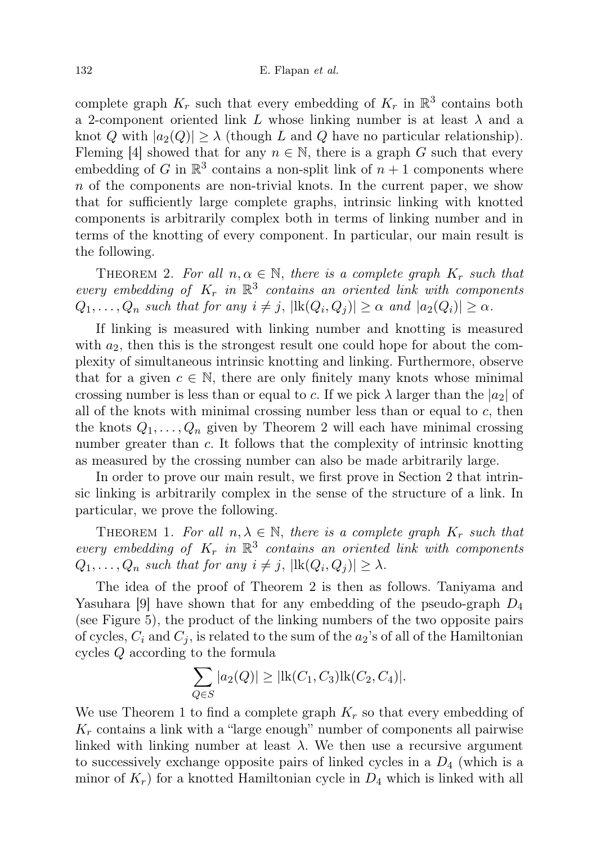complete graph  $K_r$  such that every embedding of  $K_r$  in  $\mathbb{R}^3$  contains both a 2-component oriented link L whose linking number is at least  $\lambda$  and a knot Q with  $|a_2(Q)| \geq \lambda$  (though L and Q have no particular relationship). Fleming [4] showed that for any  $n \in \mathbb{N}$ , there is a graph G such that every embedding of G in  $\mathbb{R}^3$  contains a non-split link of  $n+1$  components where  $n$  of the components are non-trivial knots. In the current paper, we show that for sufficiently large complete graphs, intrinsic linking with knotted components is arbitrarily complex both in terms of linking number and in terms of the knotting of every component. In particular, our main result is the following.

THEOREM 2. For all  $n, \alpha \in \mathbb{N}$ , there is a complete graph  $K_r$  such that every embedding of  $K_r$  in  $\mathbb{R}^3$  contains an oriented link with components  $Q_1, \ldots, Q_n$  such that for any  $i \neq j$ ,  $|\text{lk}(Q_i, Q_j)| \geq \alpha$  and  $|a_2(Q_i)| \geq \alpha$ .

If linking is measured with linking number and knotting is measured with  $a_2$ , then this is the strongest result one could hope for about the complexity of simultaneous intrinsic knotting and linking. Furthermore, observe that for a given  $c \in \mathbb{N}$ , there are only finitely many knots whose minimal crossing number is less than or equal to c. If we pick  $\lambda$  larger than the  $|a_2|$  of all of the knots with minimal crossing number less than or equal to  $c$ , then the knots  $Q_1, \ldots, Q_n$  given by Theorem 2 will each have minimal crossing number greater than c. It follows that the complexity of intrinsic knotting as measured by the crossing number can also be made arbitrarily large.

In order to prove our main result, we first prove in Section 2 that intrinsic linking is arbitrarily complex in the sense of the structure of a link. In particular, we prove the following.

THEOREM 1. For all  $n, \lambda \in \mathbb{N}$ , there is a complete graph  $K_r$  such that every embedding of  $K_r$  in  $\mathbb{R}^3$  contains an oriented link with components  $Q_1, \ldots, Q_n$  such that for any  $i \neq j$ ,  $|\text{lk}(Q_i, Q_j)| \geq \lambda$ .

The idea of the proof of Theorem 2 is then as follows. Taniyama and Yasuhara [9] have shown that for any embedding of the pseudo-graph  $D_4$ (see Figure 5), the product of the linking numbers of the two opposite pairs of cycles,  $C_i$  and  $C_j$ , is related to the sum of the  $a_2$ 's of all of the Hamiltonian cycles Q according to the formula

$$
\sum_{Q \in S} |a_2(Q)| \ge |\text{lk}(C_1, C_3)\text{lk}(C_2, C_4)|.
$$

We use Theorem 1 to find a complete graph  $K_r$  so that every embedding of  $K_r$  contains a link with a "large enough" number of components all pairwise linked with linking number at least  $\lambda$ . We then use a recursive argument to successively exchange opposite pairs of linked cycles in a  $D_4$  (which is a minor of  $K_r$ ) for a knotted Hamiltonian cycle in  $D_4$  which is linked with all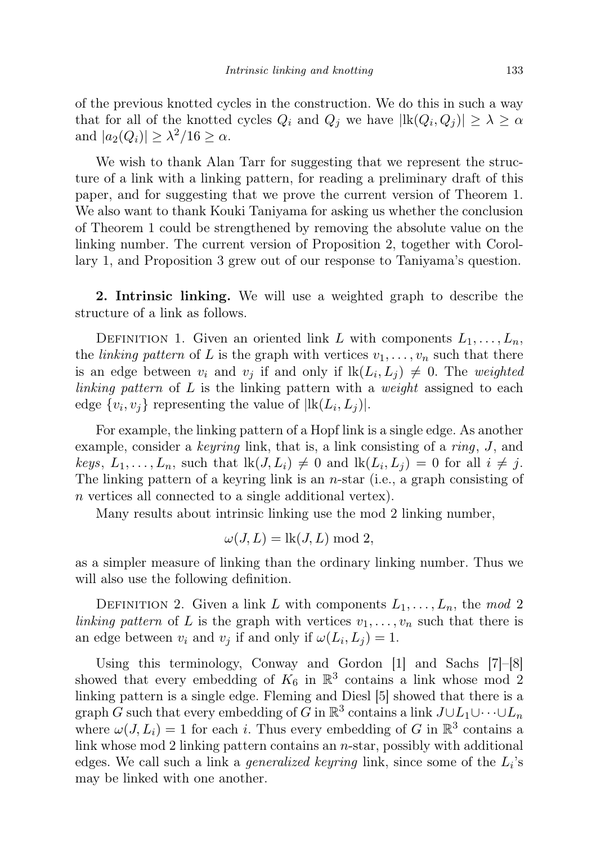of the previous knotted cycles in the construction. We do this in such a way that for all of the knotted cycles  $Q_i$  and  $Q_j$  we have  $|\text{lk}(Q_i, Q_j)| \geq \lambda \geq \alpha$ and  $|a_2(Q_i)| \geq \lambda^2/16 \geq \alpha$ .

We wish to thank Alan Tarr for suggesting that we represent the structure of a link with a linking pattern, for reading a preliminary draft of this paper, and for suggesting that we prove the current version of Theorem 1. We also want to thank Kouki Taniyama for asking us whether the conclusion of Theorem 1 could be strengthened by removing the absolute value on the linking number. The current version of Proposition 2, together with Corollary 1, and Proposition 3 grew out of our response to Taniyama's question.

2. Intrinsic linking. We will use a weighted graph to describe the structure of a link as follows.

DEFINITION 1. Given an oriented link L with components  $L_1, \ldots, L_n$ , the *linking pattern* of L is the graph with vertices  $v_1, \ldots, v_n$  such that there is an edge between  $v_i$  and  $v_j$  if and only if  $lk(L_i, L_j) \neq 0$ . The weighted linking pattern of  $L$  is the linking pattern with a weight assigned to each edge  $\{v_i, v_j\}$  representing the value of  $|\text{lk}(L_i, L_j)|$ .

For example, the linking pattern of a Hopf link is a single edge. As another example, consider a *keyring* link, that is, a link consisting of a *ring*,  $J$ , and keys,  $L_1, \ldots, L_n$ , such that  $lk(J, L_i) \neq 0$  and  $lk(L_i, L_j) = 0$  for all  $i \neq j$ . The linking pattern of a keyring link is an  $n$ -star (i.e., a graph consisting of n vertices all connected to a single additional vertex).

Many results about intrinsic linking use the mod 2 linking number,

$$
\omega(J, L) = \text{lk}(J, L) \bmod 2,
$$

as a simpler measure of linking than the ordinary linking number. Thus we will also use the following definition.

DEFINITION 2. Given a link L with components  $L_1, \ldots, L_n$ , the mod 2 linking pattern of L is the graph with vertices  $v_1, \ldots, v_n$  such that there is an edge between  $v_i$  and  $v_j$  if and only if  $\omega(L_i, L_j) = 1$ .

Using this terminology, Conway and Gordon [1] and Sachs [7]–[8] showed that every embedding of  $K_6$  in  $\mathbb{R}^3$  contains a link whose mod 2 linking pattern is a single edge. Fleming and Diesl [5] showed that there is a graph G such that every embedding of G in  $\mathbb{R}^3$  contains a link  $J \cup L_1 \cup \cdots \cup L_n$ where  $\omega(J, L_i) = 1$  for each *i*. Thus every embedding of G in  $\mathbb{R}^3$  contains a link whose mod 2 linking pattern contains an n-star, possibly with additional edges. We call such a link a *generalized keyring* link, since some of the  $L_i$ 's may be linked with one another.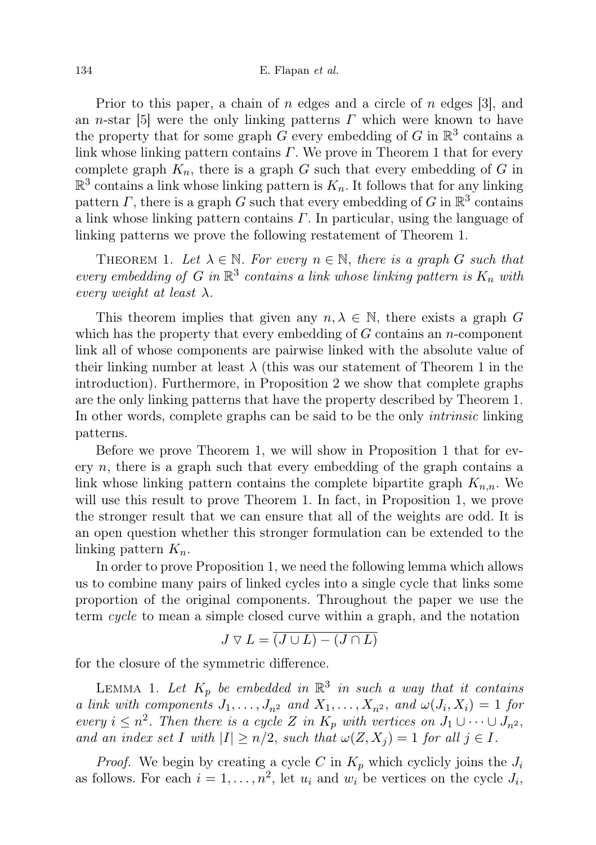Prior to this paper, a chain of n edges and a circle of n edges [3], and an n-star [5] were the only linking patterns  $\Gamma$  which were known to have the property that for some graph G every embedding of G in  $\mathbb{R}^3$  contains a link whose linking pattern contains  $\Gamma$ . We prove in Theorem 1 that for every complete graph  $K_n$ , there is a graph G such that every embedding of G in  $\mathbb{R}^3$  contains a link whose linking pattern is  $K_n$ . It follows that for any linking pattern  $\Gamma$ , there is a graph G such that every embedding of G in  $\mathbb{R}^3$  contains a link whose linking pattern contains  $\Gamma$ . In particular, using the language of linking patterns we prove the following restatement of Theorem 1.

THEOREM 1. Let  $\lambda \in \mathbb{N}$ . For every  $n \in \mathbb{N}$ , there is a graph G such that every embedding of G in  $\mathbb{R}^3$  contains a link whose linking pattern is  $K_n$  with every weight at least  $\lambda$ .

This theorem implies that given any  $n, \lambda \in \mathbb{N}$ , there exists a graph G which has the property that every embedding of  $G$  contains an n-component link all of whose components are pairwise linked with the absolute value of their linking number at least  $\lambda$  (this was our statement of Theorem 1 in the introduction). Furthermore, in Proposition 2 we show that complete graphs are the only linking patterns that have the property described by Theorem 1. In other words, complete graphs can be said to be the only intrinsic linking patterns.

Before we prove Theorem 1, we will show in Proposition 1 that for every  $n$ , there is a graph such that every embedding of the graph contains a link whose linking pattern contains the complete bipartite graph  $K_{n,n}$ . We will use this result to prove Theorem 1. In fact, in Proposition 1, we prove the stronger result that we can ensure that all of the weights are odd. It is an open question whether this stronger formulation can be extended to the linking pattern  $K_n$ .

In order to prove Proposition 1, we need the following lemma which allows us to combine many pairs of linked cycles into a single cycle that links some proportion of the original components. Throughout the paper we use the term cycle to mean a simple closed curve within a graph, and the notation

$$
J \nabla L = \overline{(J \cup L) - (J \cap L)}
$$

for the closure of the symmetric difference.

LEMMA 1. Let  $K_p$  be embedded in  $\mathbb{R}^3$  in such a way that it contains a link with components  $J_1, \ldots, J_{n^2}$  and  $X_1, \ldots, X_{n^2}$ , and  $\omega(J_i, X_i) = 1$  for every  $i \leq n^2$ . Then there is a cycle Z in  $K_p$  with vertices on  $J_1 \cup \cdots \cup J_{n^2}$ , and an index set I with  $|I| \ge n/2$ , such that  $\omega(Z, X_i) = 1$  for all  $j \in I$ .

*Proof.* We begin by creating a cycle C in  $K_p$  which cyclicly joins the  $J_i$ as follows. For each  $i = 1, ..., n^2$ , let  $u_i$  and  $w_i$  be vertices on the cycle  $J_i$ ,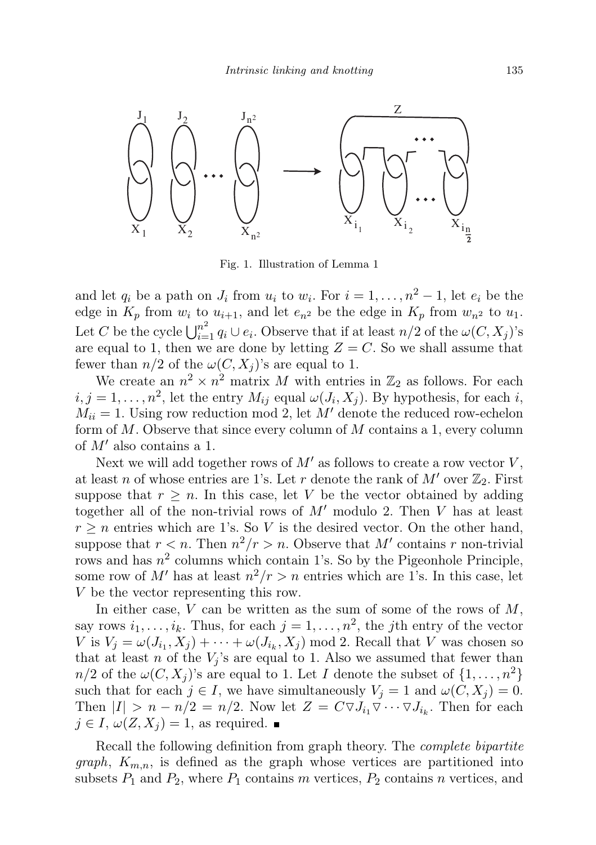

Fig. 1. Illustration of Lemma 1

and let  $q_i$  be a path on  $J_i$  from  $u_i$  to  $w_i$ . For  $i = 1, ..., n^2 - 1$ , let  $e_i$  be the edge in  $K_p$  from  $w_i$  to  $u_{i+1}$ , and let  $e_{n^2}$  be the edge in  $K_p$  from  $w_{n^2}$  to  $u_1$ . Let C be the cycle  $\bigcup_{i=1}^{n^2} q_i \cup e_i$ . Observe that if at least  $n/2$  of the  $\omega(C, X_j)$ 's are equal to 1, then we are done by letting  $Z = C$ . So we shall assume that fewer than  $n/2$  of the  $\omega(C, X_i)$ 's are equal to 1.

We create an  $n^2 \times n^2$  matrix M with entries in  $\mathbb{Z}_2$  as follows. For each  $i, j = 1, \ldots, n^2$ , let the entry  $M_{ij}$  equal  $\omega(J_i, X_j)$ . By hypothesis, for each i,  $M_{ii} = 1$ . Using row reduction mod 2, let M' denote the reduced row-echelon form of  $M$ . Observe that since every column of  $M$  contains a 1, every column of  $M'$  also contains a 1.

Next we will add together rows of  $M'$  as follows to create a row vector  $V$ , at least n of whose entries are 1's. Let r denote the rank of  $M'$  over  $\mathbb{Z}_2$ . First suppose that  $r \geq n$ . In this case, let V be the vector obtained by adding together all of the non-trivial rows of  $M'$  modulo 2. Then V has at least  $r \geq n$  entries which are 1's. So V is the desired vector. On the other hand, suppose that  $r < n$ . Then  $n^2/r > n$ . Observe that M' contains r non-trivial rows and has  $n^2$  columns which contain 1's. So by the Pigeonhole Principle, some row of M' has at least  $n^2/r > n$  entries which are 1's. In this case, let V be the vector representing this row.

In either case,  $V$  can be written as the sum of some of the rows of  $M$ , say rows  $i_1, \ldots, i_k$ . Thus, for each  $j = 1, \ldots, n^2$ , the *j*th entry of the vector V is  $V_j = \omega(J_{i_1}, X_j) + \cdots + \omega(J_{i_k}, X_j)$  mod 2. Recall that V was chosen so that at least n of the  $V_i$ 's are equal to 1. Also we assumed that fewer than  $n/2$  of the  $\omega(C, X_i)$ 's are equal to 1. Let I denote the subset of  $\{1, \ldots, n^2\}$ such that for each  $j \in I$ , we have simultaneously  $V_j = 1$  and  $\omega(C, X_j) = 0$ . Then  $|I| > n - n/2 = n/2$ . Now let  $Z = C \nabla J_{i_1} \nabla \cdots \nabla J_{i_k}$ . Then for each  $j \in I$ ,  $\omega(Z, X_i) = 1$ , as required.

Recall the following definition from graph theory. The complete bipartite *graph*,  $K_{m,n}$ , is defined as the graph whose vertices are partitioned into subsets  $P_1$  and  $P_2$ , where  $P_1$  contains m vertices,  $P_2$  contains n vertices, and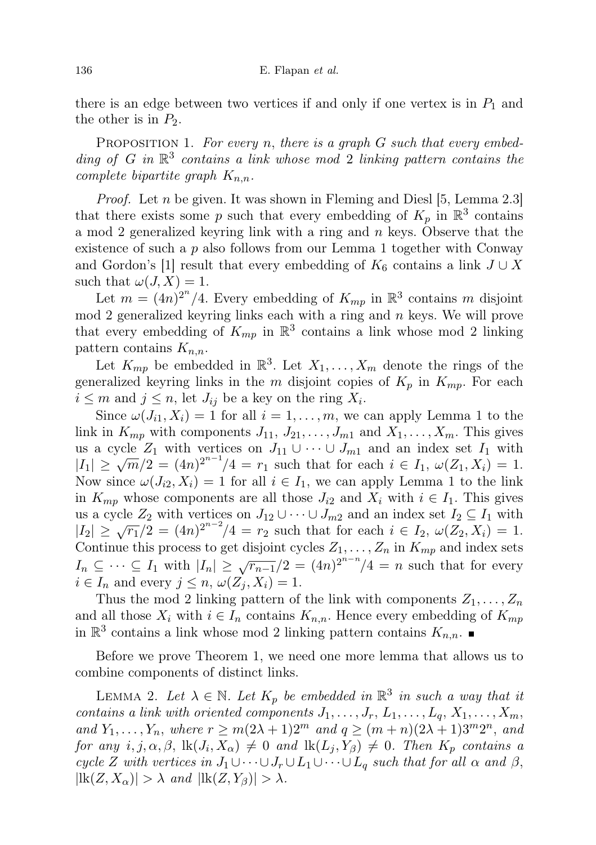there is an edge between two vertices if and only if one vertex is in  $P_1$  and the other is in  $P_2$ .

PROPOSITION 1. For every n, there is a graph  $G$  such that every embedding of  $G$  in  $\mathbb{R}^3$  contains a link whose mod 2 linking pattern contains the complete bipartite graph  $K_{n,n}$ .

*Proof.* Let  $n$  be given. It was shown in Fleming and Diesl [5, Lemma 2.3] that there exists some p such that every embedding of  $K_p$  in  $\mathbb{R}^3$  contains a mod 2 generalized keyring link with a ring and  $n$  keys. Observe that the existence of such a  $p$  also follows from our Lemma 1 together with Conway and Gordon's [1] result that every embedding of  $K_6$  contains a link  $J \cup X$ such that  $\omega(J, X) = 1$ .

Let  $m = (4n)^{2^n}/4$ . Every embedding of  $K_{mp}$  in  $\mathbb{R}^3$  contains m disjoint mod 2 generalized keyring links each with a ring and  $n$  keys. We will prove that every embedding of  $K_{mp}$  in  $\mathbb{R}^3$  contains a link whose mod 2 linking pattern contains  $K_{n,n}$ .

Let  $K_{mp}$  be embedded in  $\mathbb{R}^3$ . Let  $X_1, \ldots, X_m$  denote the rings of the generalized keyring links in the m disjoint copies of  $K_p$  in  $K_{mp}$ . For each  $i \leq m$  and  $j \leq n$ , let  $J_{ij}$  be a key on the ring  $X_i$ .

Since  $\omega(J_{i1}, X_i) = 1$  for all  $i = 1, \ldots, m$ , we can apply Lemma 1 to the link in  $K_{mp}$  with components  $J_{11}, J_{21}, \ldots, J_{m1}$  and  $X_1, \ldots, X_m$ . This gives us a cycle  $Z_1$  with vertices on  $J_{11} \cup \cdots \cup J_{m1}$  and an index set  $I_1$  with ds a cycle  $Z_1$  with vertices on  $J_{11}$  ∪  $\cdots$   $J_{m1}$  and an index set  $I_1$  with  $|I_1|$  ≥  $\sqrt{m}/2 = (4n)^{2^{n-1}}/4 = r_1$  such that for each  $i \in I_1$ ,  $\omega(Z_1, X_i) = 1$ . Now since  $\omega(J_{i2}, X_i) = 1$  for all  $i \in I_1$ , we can apply Lemma 1 to the link in  $K_{mp}$  whose components are all those  $J_{i2}$  and  $X_i$  with  $i \in I_1$ . This gives us a cycle  $Z_2$  with vertices on  $J_{12} \cup \cdots \cup J_{m2}$  and an index set  $I_2 \subseteq I_1$  with  $|I_2| \ge \sqrt{r_1/2} = (4n)^{2n-2}/4 = r_2$  such that for each  $i \in I_2$ ,  $\omega(Z_2, X_i) = 1$ . Continue this process to get disjoint cycles  $Z_1, \ldots, Z_n$  in  $K_{mp}$  and index sets  $I_n \subseteq \cdots \subseteq I_1$  with  $|I_n| \geq \sqrt{r_{n-1}}/2 = (4n)^{2^{n-n}}/4 = n$  such that for every  $i \in I_n$  and every  $j \leq n$ ,  $\omega(Z_j, X_i) = 1$ .

Thus the mod 2 linking pattern of the link with components  $Z_1, \ldots, Z_n$ and all those  $X_i$  with  $i \in I_n$  contains  $K_{n,n}$ . Hence every embedding of  $K_{mp}$ in  $\mathbb{R}^3$  contains a link whose mod 2 linking pattern contains  $K_{n,n}$ .

Before we prove Theorem 1, we need one more lemma that allows us to combine components of distinct links.

LEMMA 2. Let  $\lambda \in \mathbb{N}$ . Let  $K_p$  be embedded in  $\mathbb{R}^3$  in such a way that it contains a link with oriented components  $J_1, \ldots, J_r, L_1, \ldots, L_q, X_1, \ldots, X_m$ , and  $Y_1, \ldots, Y_n$ , where  $r \geq m(2\lambda + 1)2^m$  and  $q \geq (m+n)(2\lambda + 1)3^m 2^n$ , and for any  $i, j, \alpha, \beta$ ,  $\text{lk}(J_i, X_{\alpha}) \neq 0$  and  $\text{lk}(L_j, Y_{\beta}) \neq 0$ . Then  $K_p$  contains a cycle Z with vertices in  $J_1 \cup \cdots \cup J_r \cup L_1 \cup \cdots \cup L_q$  such that for all  $\alpha$  and  $\beta$ ,  $|\text{lk}(Z, X_{\alpha})| > \lambda \text{ and } |\text{lk}(Z, Y_{\beta})| > \lambda.$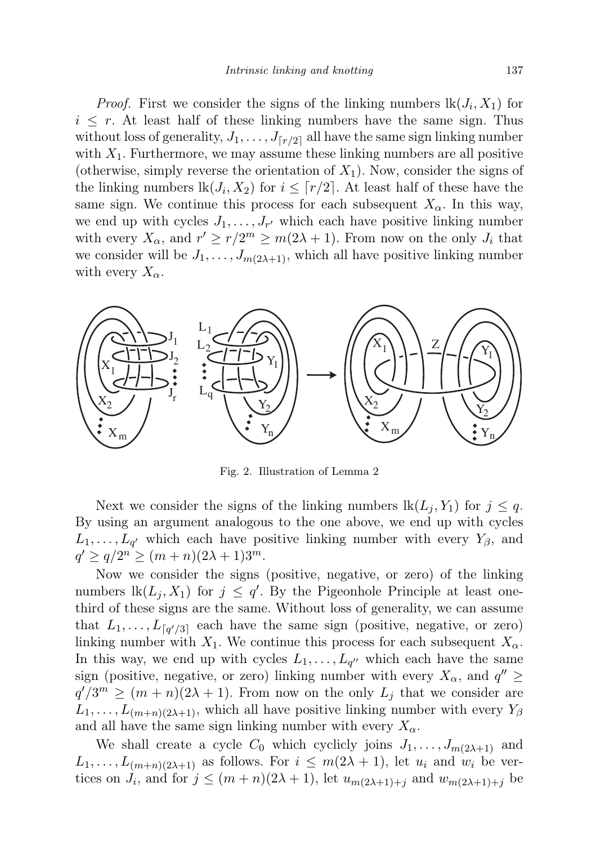*Proof.* First we consider the signs of the linking numbers  $lk(J_i, X_1)$  for  $i \leq r$ . At least half of these linking numbers have the same sign. Thus without loss of generality,  $J_1, \ldots, J_{\lceil r/2 \rceil}$  all have the same sign linking number with  $X_1$ . Furthermore, we may assume these linking numbers are all positive (otherwise, simply reverse the orientation of  $X_1$ ). Now, consider the signs of the linking numbers  $lk(J_i, X_2)$  for  $i \leq \lceil r/2 \rceil$ . At least half of these have the same sign. We continue this process for each subsequent  $X_{\alpha}$ . In this way, we end up with cycles  $J_1, \ldots, J_{r'}$  which each have positive linking number with every  $X_{\alpha}$ , and  $r' \geq r/2^m \geq m(2\lambda+1)$ . From now on the only  $J_i$  that we consider will be  $J_1, \ldots, J_{m(2\lambda+1)}$ , which all have positive linking number with every  $X_{\alpha}$ .



Fig. 2. Illustration of Lemma 2

Next we consider the signs of the linking numbers  $lk(L_i, Y_1)$  for  $j \leq q$ . By using an argument analogous to the one above, we end up with cycles  $L_1, \ldots, L_{q'}$  which each have positive linking number with every  $Y_{\beta}$ , and  $q' \ge q/2^n \ge (m+n)(2\lambda+1)3^m$ .

Now we consider the signs (positive, negative, or zero) of the linking numbers  $lk(L_j, X_1)$  for  $j \leq q'$ . By the Pigeonhole Principle at least onethird of these signs are the same. Without loss of generality, we can assume that  $L_1, \ldots, L_{\lceil q'/3 \rceil}$  each have the same sign (positive, negative, or zero) linking number with  $X_1$ . We continue this process for each subsequent  $X_\alpha$ . In this way, we end up with cycles  $L_1, \ldots, L_{q''}$  which each have the same sign (positive, negative, or zero) linking number with every  $X_{\alpha}$ , and  $q'' \geq$  $q'/3^m \geq (m+n)(2\lambda+1)$ . From now on the only  $L_j$  that we consider are  $L_1, \ldots, L_{(m+n)(2\lambda+1)}$ , which all have positive linking number with every  $Y_\beta$ and all have the same sign linking number with every  $X_{\alpha}$ .

We shall create a cycle  $C_0$  which cyclicly joins  $J_1, \ldots, J_{m(2\lambda+1)}$  and  $L_1, \ldots, L_{(m+n)(2\lambda+1)}$  as follows. For  $i \leq m(2\lambda+1)$ , let  $u_i$  and  $w_i$  be vertices on  $J_i$ , and for  $j \leq (m+n)(2\lambda+1)$ , let  $u_{m(2\lambda+1)+j}$  and  $w_{m(2\lambda+1)+j}$  be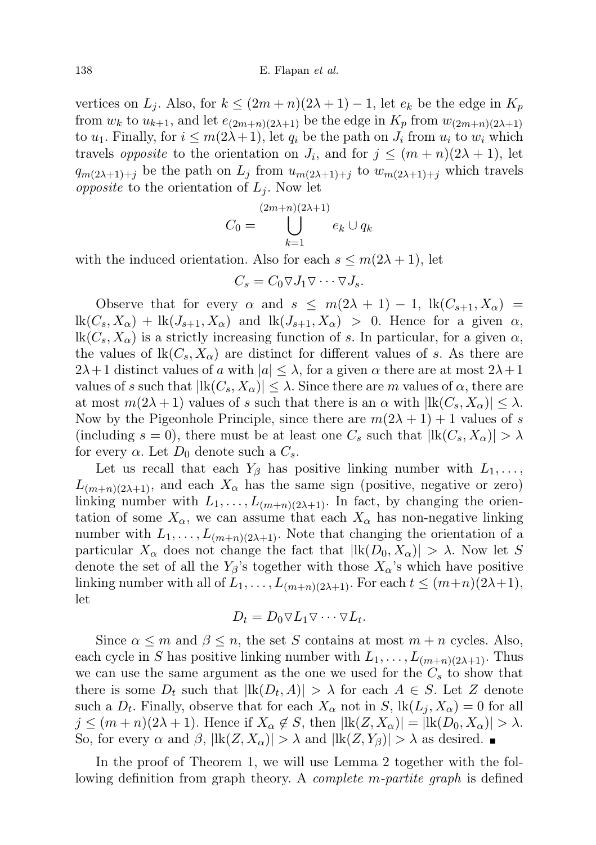vertices on  $L_j$ . Also, for  $k \leq (2m+n)(2\lambda+1)-1$ , let  $e_k$  be the edge in  $K_p$ from  $w_k$  to  $u_{k+1}$ , and let  $e_{(2m+n)(2\lambda+1)}$  be the edge in  $K_p$  from  $w_{(2m+n)(2\lambda+1)}$ to  $u_1$ . Finally, for  $i \leq m(2\lambda+1)$ , let  $q_i$  be the path on  $J_i$  from  $u_i$  to  $w_i$  which travels *opposite* to the orientation on  $J_i$ , and for  $j \leq (m+n)(2\lambda+1)$ , let  $q_{m(2\lambda+1)+j}$  be the path on  $L_j$  from  $u_{m(2\lambda+1)+j}$  to  $w_{m(2\lambda+1)+j}$  which travels opposite to the orientation of  $L_i$ . Now let

$$
C_0 = \bigcup_{k=1}^{(2m+n)(2\lambda+1)} e_k \cup q_k
$$

with the induced orientation. Also for each  $s \leq m(2\lambda + 1)$ , let

$$
C_s = C_0 \nabla J_1 \nabla \cdots \nabla J_s.
$$

Observe that for every  $\alpha$  and  $s \leq m(2\lambda + 1) - 1$ ,  $\text{lk}(C_{s+1}, X_{\alpha}) =$  $\operatorname{lk}(C_s,X_\alpha)+\operatorname{lk}(J_{s+1},X_\alpha)$  and  $\operatorname{lk}(J_{s+1},X_\alpha) > 0$ . Hence for a given  $\alpha$ ,  $lk(C_s, X_{\alpha})$  is a strictly increasing function of s. In particular, for a given  $\alpha$ , the values of  $\text{lk}(C_s, X_\alpha)$  are distinct for different values of s. As there are  $2\lambda+1$  distinct values of a with  $|a| \leq \lambda$ , for a given  $\alpha$  there are at most  $2\lambda+1$ values of s such that  $|lk(C_s, X_\alpha)| \leq \lambda$ . Since there are m values of  $\alpha$ , there are at most  $m(2\lambda + 1)$  values of s such that there is an  $\alpha$  with  $\left| \mathrm{lk}(C_s, X_\alpha) \right| \leq \lambda$ . Now by the Pigeonhole Principle, since there are  $m(2\lambda + 1) + 1$  values of s (including  $s = 0$ ), there must be at least one  $C_s$  such that  $\left| \text{lk}(C_s, X_\alpha) \right| > \lambda$ for every  $\alpha$ . Let  $D_0$  denote such a  $C_s$ .

Let us recall that each  $Y_\beta$  has positive linking number with  $L_1, \ldots,$  $L_{(m+n)(2\lambda+1)}$ , and each  $X_{\alpha}$  has the same sign (positive, negative or zero) linking number with  $L_1, \ldots, L_{(m+n)(2\lambda+1)}$ . In fact, by changing the orientation of some  $X_{\alpha}$ , we can assume that each  $X_{\alpha}$  has non-negative linking number with  $L_1, \ldots, L_{(m+n)(2\lambda+1)}$ . Note that changing the orientation of a particular  $X_{\alpha}$  does not change the fact that  $|{\rm lk}(D_0, X_{\alpha})| > \lambda$ . Now let S denote the set of all the  $Y_\beta$ 's together with those  $X_\alpha$ 's which have positive linking number with all of  $L_1, \ldots, L_{(m+n)(2\lambda+1)}$ . For each  $t \leq (m+n)(2\lambda+1)$ , let

$$
D_t = D_0 \nabla L_1 \nabla \cdots \nabla L_t.
$$

Since  $\alpha \leq m$  and  $\beta \leq n$ , the set S contains at most  $m + n$  cycles. Also, each cycle in S has positive linking number with  $L_1, \ldots, L_{(m+n)(2\lambda+1)}$ . Thus we can use the same argument as the one we used for the  $C_s$  to show that there is some  $D_t$  such that  $|\text{lk}(D_t, A)| > \lambda$  for each  $A \in S$ . Let Z denote such a  $D_t$ . Finally, observe that for each  $X_\alpha$  not in  $S$ ,  $\text{lk}(L_j, X_\alpha) = 0$  for all  $j \leq (m+n)(2\lambda+1)$ . Hence if  $X_{\alpha} \notin S$ , then  $\vert \text{lk}(Z, X_{\alpha}) \vert = \vert \text{lk}(D_0, X_{\alpha}) \vert > \lambda$ . So, for every  $\alpha$  and  $\beta$ ,  $|{\rm lk}(Z, X_{\alpha})| > \lambda$  and  $|{\rm lk}(Z, Y_{\beta})| > \lambda$  as desired.

In the proof of Theorem 1, we will use Lemma 2 together with the following definition from graph theory. A *complete m-partite graph* is defined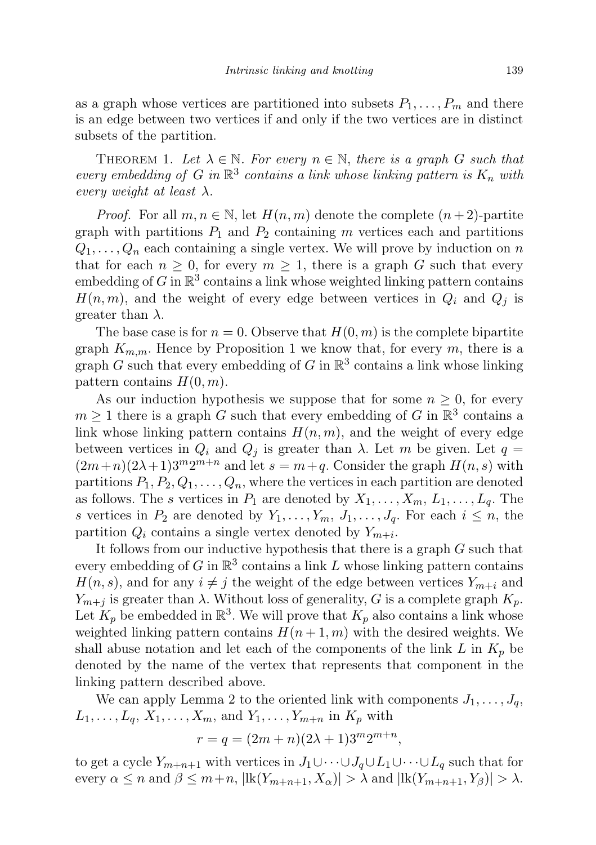as a graph whose vertices are partitioned into subsets  $P_1, \ldots, P_m$  and there is an edge between two vertices if and only if the two vertices are in distinct subsets of the partition.

THEOREM 1. Let  $\lambda \in \mathbb{N}$ . For every  $n \in \mathbb{N}$ , there is a graph G such that every embedding of G in  $\mathbb{R}^3$  contains a link whose linking pattern is  $K_n$  with every weight at least  $\lambda$ .

*Proof.* For all  $m, n \in \mathbb{N}$ , let  $H(n, m)$  denote the complete  $(n + 2)$ -partite graph with partitions  $P_1$  and  $P_2$  containing m vertices each and partitions  $Q_1, \ldots, Q_n$  each containing a single vertex. We will prove by induction on n that for each  $n \geq 0$ , for every  $m \geq 1$ , there is a graph G such that every embedding of G in  $\mathbb{R}^3$  contains a link whose weighted linking pattern contains  $H(n, m)$ , and the weight of every edge between vertices in  $Q_i$  and  $Q_j$  is greater than  $\lambda$ .

The base case is for  $n = 0$ . Observe that  $H(0, m)$  is the complete bipartite graph  $K_{m,m}$ . Hence by Proposition 1 we know that, for every m, there is a graph G such that every embedding of G in  $\mathbb{R}^3$  contains a link whose linking pattern contains  $H(0, m)$ .

As our induction hypothesis we suppose that for some  $n \geq 0$ , for every  $m \geq 1$  there is a graph G such that every embedding of G in  $\mathbb{R}^3$  contains a link whose linking pattern contains  $H(n, m)$ , and the weight of every edge between vertices in  $Q_i$  and  $Q_j$  is greater than  $\lambda$ . Let m be given. Let  $q =$  $(2m+n)(2\lambda+1)3^m2^{m+n}$  and let  $s=m+q$ . Consider the graph  $H(n,s)$  with partitions  $P_1, P_2, Q_1, \ldots, Q_n$ , where the vertices in each partition are denoted as follows. The s vertices in  $P_1$  are denoted by  $X_1, \ldots, X_m, L_1, \ldots, L_q$ . The s vertices in  $P_2$  are denoted by  $Y_1, \ldots, Y_m, J_1, \ldots, J_q$ . For each  $i \leq n$ , the partition  $Q_i$  contains a single vertex denoted by  $Y_{m+i}$ .

It follows from our inductive hypothesis that there is a graph G such that every embedding of G in  $\mathbb{R}^3$  contains a link L whose linking pattern contains  $H(n, s)$ , and for any  $i \neq j$  the weight of the edge between vertices  $Y_{m+i}$  and  $Y_{m+i}$  is greater than  $\lambda$ . Without loss of generality, G is a complete graph  $K_p$ . Let  $K_p$  be embedded in  $\mathbb{R}^3$ . We will prove that  $K_p$  also contains a link whose weighted linking pattern contains  $H(n+1, m)$  with the desired weights. We shall abuse notation and let each of the components of the link  $L$  in  $K_p$  be denoted by the name of the vertex that represents that component in the linking pattern described above.

We can apply Lemma 2 to the oriented link with components  $J_1, \ldots, J_q$ ,  $L_1, \ldots, L_q, X_1, \ldots, X_m$ , and  $Y_1, \ldots, Y_{m+n}$  in  $K_p$  with

$$
r = q = (2m + n)(2\lambda + 1)3^m 2^{m+n},
$$

to get a cycle  $Y_{m+n+1}$  with vertices in  $J_1\cup\cdots\cup J_q\cup L_1\cup\cdots\cup L_q$  such that for every  $\alpha \leq n$  and  $\beta \leq m+n$ ,  $|\text{lk}(Y_{m+n+1}, X_{\alpha})| > \lambda$  and  $|\text{lk}(Y_{m+n+1}, Y_{\beta})| > \lambda$ .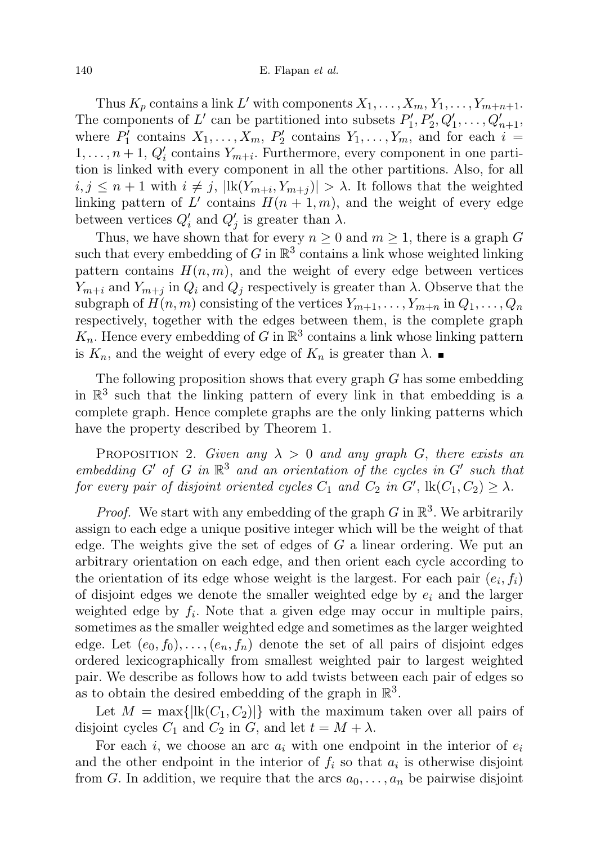Thus  $K_p$  contains a link L' with components  $X_1, \ldots, X_m, Y_1, \ldots, Y_{m+n+1}$ . The components of L' can be partitioned into subsets  $P'_1, P'_2, Q'_1, \ldots, Q'_{n+1}$ , where  $P'_1$  contains  $X_1, \ldots, X_m$ ,  $P'_2$  contains  $Y_1, \ldots, Y_m$ , and for each  $i =$  $1, \ldots, n+1$ ,  $Q'_i$  contains  $Y_{m+i}$ . Furthermore, every component in one partition is linked with every component in all the other partitions. Also, for all  $i, j \leq n+1$  with  $i \neq j$ ,  $\left| \mathrm{lk}(Y_{m+i}, Y_{m+j}) \right| > \lambda$ . It follows that the weighted linking pattern of L' contains  $H(n+1,m)$ , and the weight of every edge between vertices  $Q'_i$  and  $Q'_j$  is greater than  $\lambda$ .

Thus, we have shown that for every  $n \geq 0$  and  $m \geq 1$ , there is a graph G such that every embedding of G in  $\mathbb{R}^3$  contains a link whose weighted linking pattern contains  $H(n, m)$ , and the weight of every edge between vertices  $Y_{m+i}$  and  $Y_{m+j}$  in  $Q_i$  and  $Q_j$  respectively is greater than  $\lambda$ . Observe that the subgraph of  $H(n, m)$  consisting of the vertices  $Y_{m+1}, \ldots, Y_{m+n}$  in  $Q_1, \ldots, Q_n$ respectively, together with the edges between them, is the complete graph  $K_n$ . Hence every embedding of G in  $\mathbb{R}^3$  contains a link whose linking pattern is  $K_n$ , and the weight of every edge of  $K_n$  is greater than  $\lambda$ .

The following proposition shows that every graph  $G$  has some embedding in  $\mathbb{R}^3$  such that the linking pattern of every link in that embedding is a complete graph. Hence complete graphs are the only linking patterns which have the property described by Theorem 1.

PROPOSITION 2. Given any  $\lambda > 0$  and any graph G, there exists an embedding  $G'$  of  $G$  in  $\mathbb{R}^3$  and an orientation of the cycles in  $G'$  such that for every pair of disjoint oriented cycles  $C_1$  and  $C_2$  in  $G'$ ,  $\text{lk}(C_1, C_2) \geq \lambda$ .

*Proof.* We start with any embedding of the graph G in  $\mathbb{R}^3$ . We arbitrarily assign to each edge a unique positive integer which will be the weight of that edge. The weights give the set of edges of  $G$  a linear ordering. We put an arbitrary orientation on each edge, and then orient each cycle according to the orientation of its edge whose weight is the largest. For each pair  $(e_i, f_i)$ of disjoint edges we denote the smaller weighted edge by  $e_i$  and the larger weighted edge by  $f_i$ . Note that a given edge may occur in multiple pairs, sometimes as the smaller weighted edge and sometimes as the larger weighted edge. Let  $(e_0, f_0), \ldots, (e_n, f_n)$  denote the set of all pairs of disjoint edges ordered lexicographically from smallest weighted pair to largest weighted pair. We describe as follows how to add twists between each pair of edges so as to obtain the desired embedding of the graph in  $\mathbb{R}^3$ .

Let  $M = \max{\{|{\rm lk}(C_1, C_2)\}\}\$  with the maximum taken over all pairs of disjoint cycles  $C_1$  and  $C_2$  in G, and let  $t = M + \lambda$ .

For each i, we choose an arc  $a_i$  with one endpoint in the interior of  $e_i$ and the other endpoint in the interior of  $f_i$  so that  $a_i$  is otherwise disjoint from G. In addition, we require that the arcs  $a_0, \ldots, a_n$  be pairwise disjoint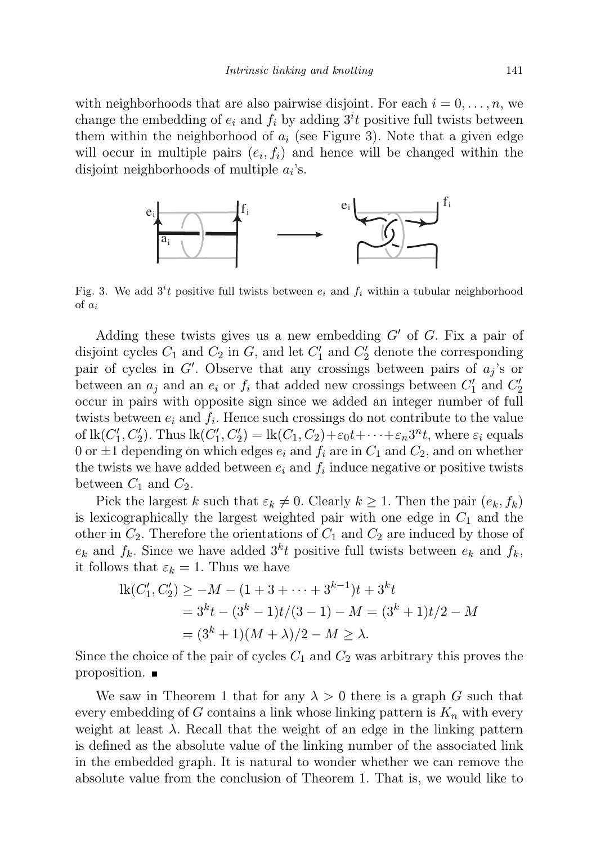with neighborhoods that are also pairwise disjoint. For each  $i = 0, \ldots, n$ , we change the embedding of  $e_i$  and  $f_i$  by adding  $3^i t$  positive full twists between them within the neighborhood of  $a_i$  (see Figure 3). Note that a given edge will occur in multiple pairs  $(e_i, f_i)$  and hence will be changed within the disjoint neighborhoods of multiple  $a_i$ 's.



Fig. 3. We add  $3<sup>i</sup>t$  positive full twists between  $e_i$  and  $f_i$  within a tubular neighborhood of  $a_i$ 

Adding these twists gives us a new embedding  $G'$  of G. Fix a pair of disjoint cycles  $C_1$  and  $C_2$  in  $G$ , and let  $C'_1$  and  $C'_2$  denote the corresponding pair of cycles in  $G'$ . Observe that any crossings between pairs of  $a_j$ 's or between an  $a_j$  and an  $e_i$  or  $f_i$  that added new crossings between  $C'_1$  and  $C'_2$ occur in pairs with opposite sign since we added an integer number of full twists between  $e_i$  and  $f_i$ . Hence such crossings do not contribute to the value of  $\text{lk}(C'_1, C'_2)$ . Thus  $\text{lk}(C'_1, C'_2) = \text{lk}(C_1, C_2) + \varepsilon_0 t + \cdots + \varepsilon_n 3^n t$ , where  $\varepsilon_i$  equals 0 or  $\pm 1$  depending on which edges  $e_i$  and  $f_i$  are in  $C_1$  and  $C_2$ , and on whether the twists we have added between  $e_i$  and  $f_i$  induce negative or positive twists between  $C_1$  and  $C_2$ .

Pick the largest k such that  $\varepsilon_k \neq 0$ . Clearly  $k \geq 1$ . Then the pair  $(e_k, f_k)$ is lexicographically the largest weighted pair with one edge in  $C_1$  and the other in  $C_2$ . Therefore the orientations of  $C_1$  and  $C_2$  are induced by those of  $e_k$  and  $f_k$ . Since we have added  $3<sup>k</sup>t$  positive full twists between  $e_k$  and  $f_k$ , it follows that  $\varepsilon_k = 1$ . Thus we have

$$
lk(C'_1, C'_2) \ge -M - (1 + 3 + \dots + 3^{k-1})t + 3^k t
$$
  
= 3^k t - (3^k - 1)t/(3 - 1) - M = (3^k + 1)t/2 - M  
= (3^k + 1)(M + \lambda)/2 - M \ge \lambda.

Since the choice of the pair of cycles  $C_1$  and  $C_2$  was arbitrary this proves the proposition.

We saw in Theorem 1 that for any  $\lambda > 0$  there is a graph G such that every embedding of G contains a link whose linking pattern is  $K_n$  with every weight at least  $\lambda$ . Recall that the weight of an edge in the linking pattern is defined as the absolute value of the linking number of the associated link in the embedded graph. It is natural to wonder whether we can remove the absolute value from the conclusion of Theorem 1. That is, we would like to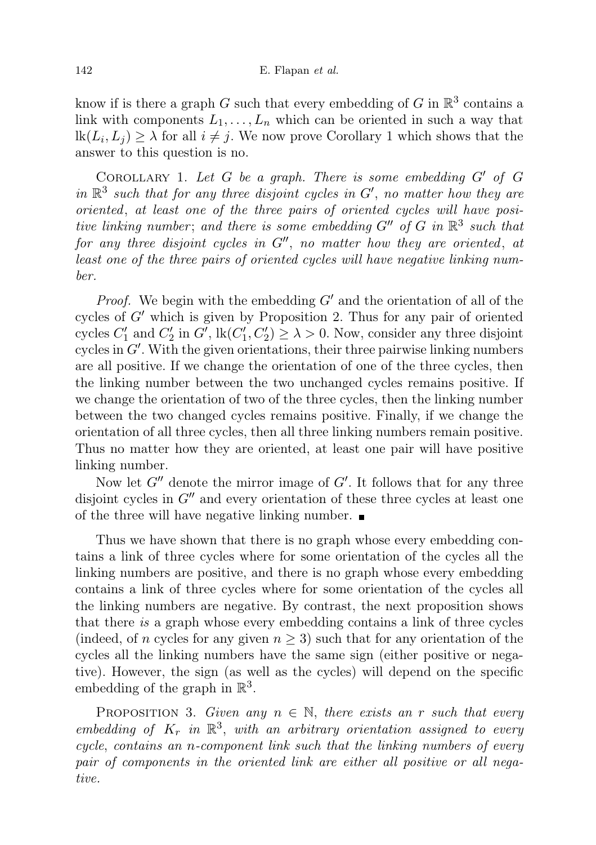know if is there a graph G such that every embedding of G in  $\mathbb{R}^3$  contains a link with components  $L_1, \ldots, L_n$  which can be oriented in such a way that  $\text{lk}(L_i, L_j) \geq \lambda$  for all  $i \neq j$ . We now prove Corollary 1 which shows that the answer to this question is no.

COROLLARY 1. Let  $G$  be a graph. There is some embedding  $G'$  of  $G$ in  $\mathbb{R}^3$  such that for any three disjoint cycles in G', no matter how they are oriented, at least one of the three pairs of oriented cycles will have positive linking number; and there is some embedding  $G''$  of G in  $\mathbb{R}^3$  such that for any three disjoint cycles in  $G''$ , no matter how they are oriented, at least one of the three pairs of oriented cycles will have negative linking number.

*Proof.* We begin with the embedding  $G'$  and the orientation of all of the cycles of  $G'$  which is given by Proposition 2. Thus for any pair of oriented cycles  $C'_1$  and  $C'_2$  in  $G'$ ,  $\text{lk}(C'_1, C'_2) \geq \lambda > 0$ . Now, consider any three disjoint cycles in  $G'$ . With the given orientations, their three pairwise linking numbers are all positive. If we change the orientation of one of the three cycles, then the linking number between the two unchanged cycles remains positive. If we change the orientation of two of the three cycles, then the linking number between the two changed cycles remains positive. Finally, if we change the orientation of all three cycles, then all three linking numbers remain positive. Thus no matter how they are oriented, at least one pair will have positive linking number.

Now let  $G''$  denote the mirror image of  $G'$ . It follows that for any three disjoint cycles in  $G''$  and every orientation of these three cycles at least one of the three will have negative linking number.

Thus we have shown that there is no graph whose every embedding contains a link of three cycles where for some orientation of the cycles all the linking numbers are positive, and there is no graph whose every embedding contains a link of three cycles where for some orientation of the cycles all the linking numbers are negative. By contrast, the next proposition shows that there is a graph whose every embedding contains a link of three cycles (indeed, of n cycles for any given  $n \geq 3$ ) such that for any orientation of the cycles all the linking numbers have the same sign (either positive or negative). However, the sign (as well as the cycles) will depend on the specific embedding of the graph in  $\mathbb{R}^3$ .

PROPOSITION 3. Given any  $n \in \mathbb{N}$ , there exists an r such that every embedding of  $K_r$  in  $\mathbb{R}^3$ , with an arbitrary orientation assigned to every cycle, contains an n-component link such that the linking numbers of every pair of components in the oriented link are either all positive or all negative.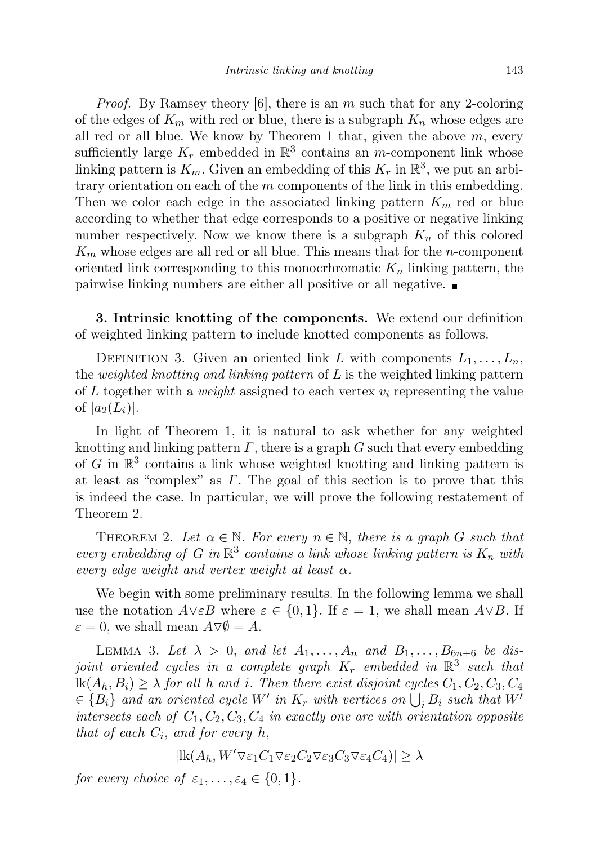*Proof.* By Ramsey theory  $|6|$ , there is an m such that for any 2-coloring of the edges of  $K_m$  with red or blue, there is a subgraph  $K_n$  whose edges are all red or all blue. We know by Theorem 1 that, given the above  $m$ , every sufficiently large  $K_r$  embedded in  $\mathbb{R}^3$  contains an m-component link whose linking pattern is  $K_m$ . Given an embedding of this  $K_r$  in  $\mathbb{R}^3$ , we put an arbitrary orientation on each of the  $m$  components of the link in this embedding. Then we color each edge in the associated linking pattern  $K_m$  red or blue according to whether that edge corresponds to a positive or negative linking number respectively. Now we know there is a subgraph  $K_n$  of this colored  $K_m$  whose edges are all red or all blue. This means that for the *n*-component oriented link corresponding to this monocrhromatic  $K_n$  linking pattern, the pairwise linking numbers are either all positive or all negative.

3. Intrinsic knotting of the components. We extend our definition of weighted linking pattern to include knotted components as follows.

DEFINITION 3. Given an oriented link L with components  $L_1, \ldots, L_n$ , the weighted knotting and linking pattern of  $L$  is the weighted linking pattern of L together with a *weight* assigned to each vertex  $v_i$  representing the value of  $|a_2(L_i)|$ .

In light of Theorem 1, it is natural to ask whether for any weighted knotting and linking pattern  $\Gamma$ , there is a graph G such that every embedding of G in  $\mathbb{R}^3$  contains a link whose weighted knotting and linking pattern is at least as "complex" as  $\Gamma$ . The goal of this section is to prove that this is indeed the case. In particular, we will prove the following restatement of Theorem 2.

THEOREM 2. Let  $\alpha \in \mathbb{N}$ . For every  $n \in \mathbb{N}$ , there is a graph G such that every embedding of G in  $\mathbb{R}^3$  contains a link whose linking pattern is  $K_n$  with every edge weight and vertex weight at least  $\alpha$ .

We begin with some preliminary results. In the following lemma we shall use the notation  $A\nabla \varepsilon B$  where  $\varepsilon \in \{0,1\}$ . If  $\varepsilon = 1$ , we shall mean  $A\nabla B$ . If  $\varepsilon = 0$ , we shall mean  $A \nabla \emptyset = A$ .

LEMMA 3. Let  $\lambda > 0$ , and let  $A_1, \ldots, A_n$  and  $B_1, \ldots, B_{6n+6}$  be disjoint oriented cycles in a complete graph  $K_r$  embedded in  $\mathbb{R}^3$  such that  $\text{lk}(A_h, B_i) \geq \lambda$  for all h and i. Then there exist disjoint cycles  $C_1, C_2, C_3, C_4$  $\{B_i\}$  and an oriented cycle W' in  $K_r$  with vertices on  $\bigcup_i B_i$  such that W' intersects each of  $C_1, C_2, C_3, C_4$  in exactly one arc with orientation opposite that of each  $C_i$ , and for every h,

$$
|\mathrm{lk}(A_h, W' \nabla \varepsilon_1 C_1 \nabla \varepsilon_2 C_2 \nabla \varepsilon_3 C_3 \nabla \varepsilon_4 C_4)| \ge \lambda
$$

for every choice of  $\varepsilon_1, \ldots, \varepsilon_4 \in \{0, 1\}.$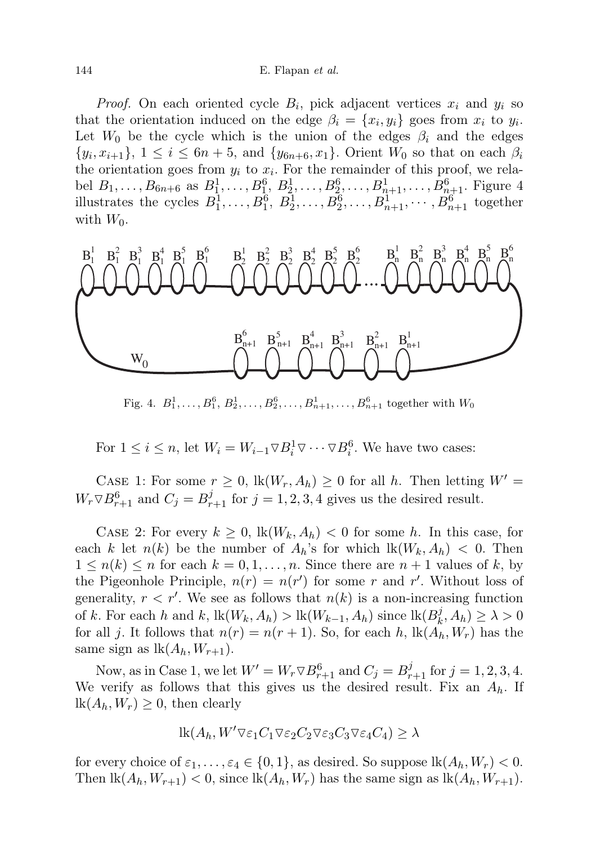*Proof.* On each oriented cycle  $B_i$ , pick adjacent vertices  $x_i$  and  $y_i$  so that the orientation induced on the edge  $\beta_i = \{x_i, y_i\}$  goes from  $x_i$  to  $y_i$ . Let  $W_0$  be the cycle which is the union of the edges  $\beta_i$  and the edges  $\{y_i, x_{i+1}\}, 1 \leq i \leq 6n+5$ , and  $\{y_{6n+6}, x_1\}.$  Orient  $W_0$  so that on each  $\beta_i$ the orientation goes from  $y_i$  to  $x_i$ . For the remainder of this proof, we relabel  $B_1, \ldots, B_{6n+6}$  as  $B_1^1, \ldots, B_1^6, B_2^1, \ldots, B_2^6, \ldots, B_{n+1}^1, \ldots, B_{n+1}^6$ . Figure 4 illustrates the cycles  $B_1^1, \ldots, B_1^6, B_2^1, \ldots, B_2^6, \ldots, B_{n+1}^1, \cdots, B_{n+1}^6$  together with  $W_0$ .



Fig. 4.  $B_1^1, \ldots, B_1^6, B_2^1, \ldots, B_2^6, \ldots, B_{n+1}^1, \ldots, B_{n+1}^6$  together with  $W_0$ 

For  $1 \leq i \leq n$ , let  $W_i = W_{i-1} \nabla B_i^1 \nabla \cdots \nabla B_i^6$ . We have two cases:

CASE 1: For some  $r \geq 0$ ,  $\text{lk}(W_r, A_h) \geq 0$  for all h. Then letting  $W' =$  $W_r \nabla B_{r+1}^6$  and  $C_j = B_{r+1}^j$  for  $j = 1, 2, 3, 4$  gives us the desired result.

CASE 2: For every  $k \geq 0$ ,  $\text{lk}(W_k, A_k) < 0$  for some h. In this case, for each k let  $n(k)$  be the number of  $A_h$ 's for which  $lk(W_k, A_h) < 0$ . Then  $1 \leq n(k) \leq n$  for each  $k = 0, 1, \ldots, n$ . Since there are  $n + 1$  values of k, by the Pigeonhole Principle,  $n(r) = n(r')$  for some r and r'. Without loss of generality,  $r < r'$ . We see as follows that  $n(k)$  is a non-increasing function of k. For each h and k,  $\text{lk}(W_k, A_h) > \text{lk}(W_{k-1}, A_h)$  since  $\text{lk}(B_k^j)$  $(b_k^j, A_h) \geq \lambda > 0$ for all j. It follows that  $n(r) = n(r + 1)$ . So, for each h,  $\text{lk}(A_h, W_r)$  has the same sign as  $lk(A_h, W_{r+1}).$ 

Now, as in Case 1, we let  $W' = W_r \nabla B_{r+1}^6$  and  $C_j = B_{r+1}^j$  for  $j = 1, 2, 3, 4$ . We verify as follows that this gives us the desired result. Fix an  $A_h$ . If  $lk(A_h, W_r) \geq 0$ , then clearly

$$
lk(A_h, W' \nabla \varepsilon_1 C_1 \nabla \varepsilon_2 C_2 \nabla \varepsilon_3 C_3 \nabla \varepsilon_4 C_4) \ge \lambda
$$

for every choice of  $\varepsilon_1, \ldots, \varepsilon_4 \in \{0, 1\}$ , as desired. So suppose  $\operatorname{lk}(A_h, W_r) < 0$ . Then  $\text{lk}(A_h, W_{r+1}) < 0$ , since  $\text{lk}(A_h, W_r)$  has the same sign as  $\text{lk}(A_h, W_{r+1})$ .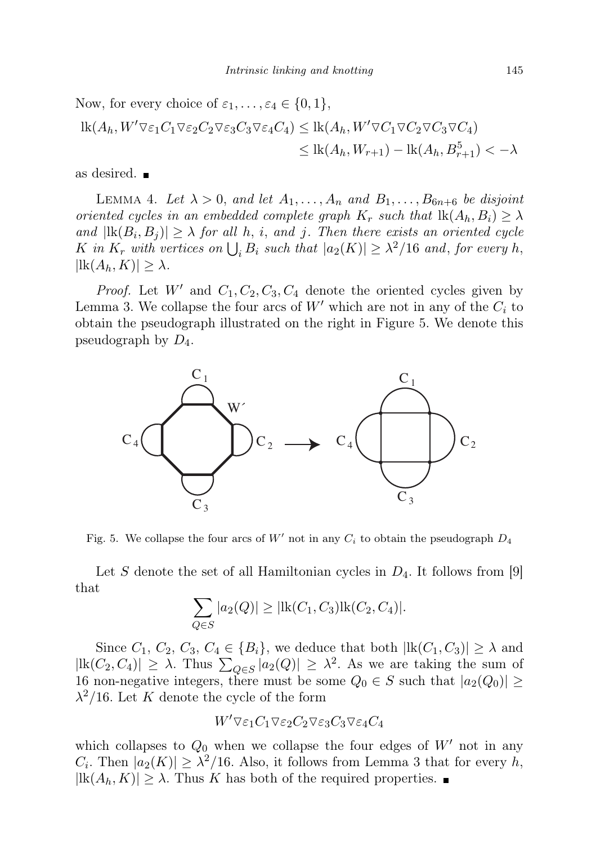Now, for every choice of 
$$
\varepsilon_1, ..., \varepsilon_4 \in \{0, 1\}
$$
,  
\n
$$
\begin{aligned}\n\text{lk}(A_h, W' \nabla \varepsilon_1 C_1 \nabla \varepsilon_2 C_2 \nabla \varepsilon_3 C_3 \nabla \varepsilon_4 C_4) &\leq \text{lk}(A_h, W' \nabla C_1 \nabla C_2 \nabla C_3 \nabla C_4) \\
&\leq \text{lk}(A_h, W_{r+1}) - \text{lk}(A_h, B_{r+1}^5) < -\lambda\n\end{aligned}
$$

as desired.

LEMMA 4. Let  $\lambda > 0$ , and let  $A_1, \ldots, A_n$  and  $B_1, \ldots, B_{6n+6}$  be disjoint oriented cycles in an embedded complete graph  $K_r$  such that  $\text{lk}(A_h, B_i) \geq \lambda$ and  $|\text{lk}(B_i, B_j)| \geq \lambda$  for all h, i, and j. Then there exists an oriented cycle K in  $K_r$  with vertices on  $\bigcup_i B_i$  such that  $|a_2(K)| \geq \lambda^2/16$  and, for every h,  $|\text{lk}(A_h, K)| \geq \lambda.$ 

*Proof.* Let W' and  $C_1, C_2, C_3, C_4$  denote the oriented cycles given by Lemma 3. We collapse the four arcs of  $W'$  which are not in any of the  $C_i$  to obtain the pseudograph illustrated on the right in Figure 5. We denote this pseudograph by  $D_4$ .



Fig. 5. We collapse the four arcs of  $W'$  not in any  $C_i$  to obtain the pseudograph  $D_4$ 

Let S denote the set of all Hamiltonian cycles in  $D_4$ . It follows from [9] that

$$
\sum_{Q \in S} |a_2(Q)| \ge |{\rm lk}(C_1, C_3){\rm lk}(C_2, C_4)|.
$$

Since  $C_1$ ,  $C_2$ ,  $C_3$ ,  $C_4 \in \{B_i\}$ , we deduce that both  $|\text{lk}(C_1, C_3)| \geq \lambda$  and  $|\text{lk}(C_2, C_4)| \geq \lambda$ . Thus  $\sum_{Q \in S} |a_2(Q)| \geq \lambda^2$ . As we are taking the sum of 16 non-negative integers, there must be some  $Q_0 \in S$  such that  $|a_2(Q_0)| \geq$  $\lambda^2/16$ . Let K denote the cycle of the form

$$
W'\nabla\varepsilon_1C_1\nabla\varepsilon_2C_2\nabla\varepsilon_3C_3\nabla\varepsilon_4C_4
$$

which collapses to  $Q_0$  when we collapse the four edges of  $W'$  not in any  $C_i$ . Then  $|a_2(K)| \geq \lambda^2/16$ . Also, it follows from Lemma 3 that for every h,  $|lk(A_h, K)| \geq \lambda$ . Thus K has both of the required properties.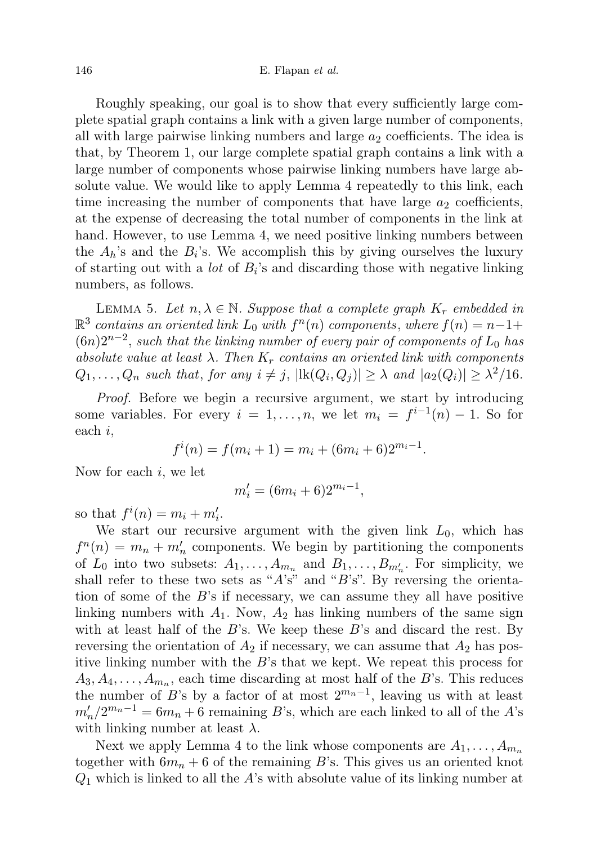Roughly speaking, our goal is to show that every sufficiently large complete spatial graph contains a link with a given large number of components, all with large pairwise linking numbers and large  $a_2$  coefficients. The idea is that, by Theorem 1, our large complete spatial graph contains a link with a large number of components whose pairwise linking numbers have large absolute value. We would like to apply Lemma 4 repeatedly to this link, each time increasing the number of components that have large  $a_2$  coefficients, at the expense of decreasing the total number of components in the link at hand. However, to use Lemma 4, we need positive linking numbers between the  $A_h$ 's and the  $B_i$ 's. We accomplish this by giving ourselves the luxury of starting out with a *lot* of  $B_i$ 's and discarding those with negative linking numbers, as follows.

LEMMA 5. Let  $n, \lambda \in \mathbb{N}$ . Suppose that a complete graph  $K_r$  embedded in  $\mathbb{R}^3$  contains an oriented link  $L_0$  with  $f^n(n)$  components, where  $f(n) = n-1+$  $(6n)2^{n-2}$ , such that the linking number of every pair of components of  $L_0$  has absolute value at least  $\lambda$ . Then  $K_r$  contains an oriented link with components  $Q_1, \ldots, Q_n$  such that, for any  $i \neq j$ ,  $|\text{lk}(Q_i, Q_j)| \geq \lambda$  and  $|a_2(Q_i)| \geq \lambda^2/16$ .

Proof. Before we begin a recursive argument, we start by introducing some variables. For every  $i = 1, ..., n$ , we let  $m_i = f^{i-1}(n) - 1$ . So for each i,

$$
f^{i}(n) = f(m_{i} + 1) = m_{i} + (6m_{i} + 6)2^{m_{i} - 1}.
$$

Now for each  $i$ , we let

$$
m_i' = (6m_i + 6)2^{m_i - 1},
$$

so that  $f^i(n) = m_i + m'_i$ .

We start our recursive argument with the given link  $L_0$ , which has  $f^{n}(n) = m_{n} + m'_{n}$  components. We begin by partitioning the components of  $L_0$  into two subsets:  $A_1, \ldots, A_{m_n}$  and  $B_1, \ldots, B_{m'_n}$ . For simplicity, we shall refer to these two sets as " $A$ 's" and " $B$ 's". By reversing the orientation of some of the  $B$ 's if necessary, we can assume they all have positive linking numbers with  $A_1$ . Now,  $A_2$  has linking numbers of the same sign with at least half of the  $B$ 's. We keep these  $B$ 's and discard the rest. By reversing the orientation of  $A_2$  if necessary, we can assume that  $A_2$  has positive linking number with the B's that we kept. We repeat this process for  $A_3, A_4, \ldots, A_{m_n}$ , each time discarding at most half of the B's. This reduces the number of B's by a factor of at most  $2^{m_n-1}$ , leaving us with at least  $m'_n/2^{m_n-1} = 6m_n + 6$  remaining B's, which are each linked to all of the A's with linking number at least  $\lambda$ .

Next we apply Lemma 4 to the link whose components are  $A_1, \ldots, A_{m_n}$ together with  $6m_n + 6$  of the remaining B's. This gives us an oriented knot  $Q_1$  which is linked to all the A's with absolute value of its linking number at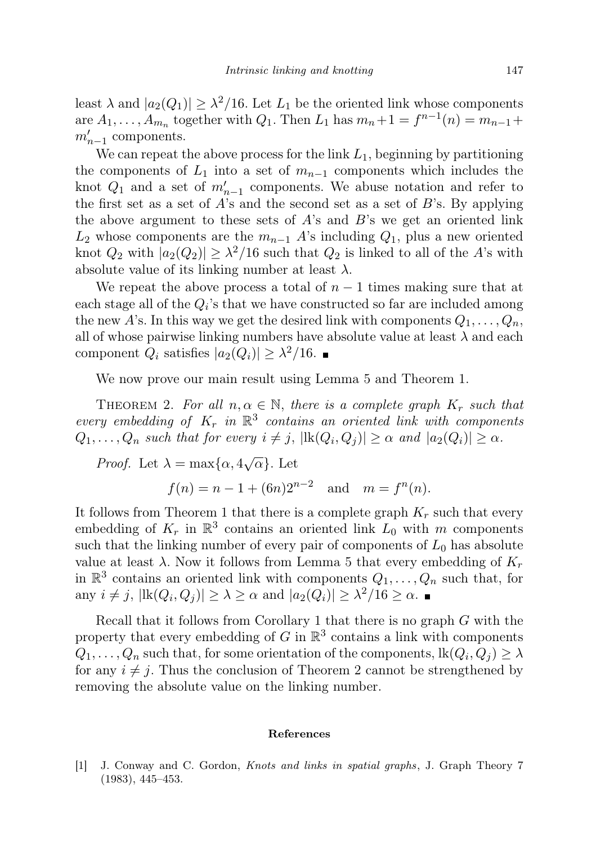least  $\lambda$  and  $|a_2(Q_1)| \geq \lambda^2/16$ . Let  $L_1$  be the oriented link whose components are  $A_1, \ldots, A_{m_n}$  together with  $Q_1$ . Then  $L_1$  has  $m_n + 1 = f^{n-1}(n) = m_{n-1} +$  $m'_{n-1}$  components.

We can repeat the above process for the link  $L_1$ , beginning by partitioning the components of  $L_1$  into a set of  $m_{n-1}$  components which includes the knot  $Q_1$  and a set of  $m'_{n-1}$  components. We abuse notation and refer to the first set as a set of  $A$ 's and the second set as a set of  $B$ 's. By applying the above argument to these sets of  $A$ 's and  $B$ 's we get an oriented link  $L_2$  whose components are the  $m_{n-1}$  A's including  $Q_1$ , plus a new oriented knot  $Q_2$  with  $|a_2(Q_2)| \geq \lambda^2/16$  such that  $Q_2$  is linked to all of the A's with absolute value of its linking number at least  $\lambda$ .

We repeat the above process a total of  $n-1$  times making sure that at each stage all of the  $Q_i$ 's that we have constructed so far are included among the new A's. In this way we get the desired link with components  $Q_1, \ldots, Q_n$ , all of whose pairwise linking numbers have absolute value at least  $\lambda$  and each component  $Q_i$  satisfies  $|a_2(Q_i)| \geq \lambda^2/16$ .

We now prove our main result using Lemma 5 and Theorem 1.

THEOREM 2. For all  $n, \alpha \in \mathbb{N}$ , there is a complete graph  $K_r$  such that every embedding of  $K_r$  in  $\mathbb{R}^3$  contains an oriented link with components  $Q_1, \ldots, Q_n$  such that for every  $i \neq j$ ,  $|\text{lk}(Q_i, Q_j)| \geq \alpha$  and  $|a_2(Q_i)| \geq \alpha$ .

*Proof.* Let  $\lambda = \max{\lbrace \alpha, 4\sqrt{\alpha} \rbrace}$ . Let  $f(n) = n - 1 + (6n)2^{n-2}$  and  $m = f^{n}(n)$ .

It follows from Theorem 1 that there is a complete graph  $K_r$  such that every embedding of  $K_r$  in  $\mathbb{R}^3$  contains an oriented link  $L_0$  with m components such that the linking number of every pair of components of  $L_0$  has absolute value at least  $\lambda$ . Now it follows from Lemma 5 that every embedding of  $K_r$ in  $\mathbb{R}^3$  contains an oriented link with components  $Q_1, \ldots, Q_n$  such that, for any  $i \neq j$ ,  $|\text{lk}(Q_i, Q_j)| \geq \lambda \geq \alpha$  and  $|a_2(Q_i)| \geq \lambda^2/16 \geq \alpha$ .

Recall that it follows from Corollary 1 that there is no graph G with the property that every embedding of G in  $\mathbb{R}^3$  contains a link with components  $Q_1, \ldots, Q_n$  such that, for some orientation of the components,  $\operatorname{lk}(Q_i,Q_j) \geq \lambda$ for any  $i \neq j$ . Thus the conclusion of Theorem 2 cannot be strengthened by removing the absolute value on the linking number.

## References

[1] J. Conway and C. Gordon, Knots and links in spatial graphs, J. Graph Theory 7 (1983), 445–453.